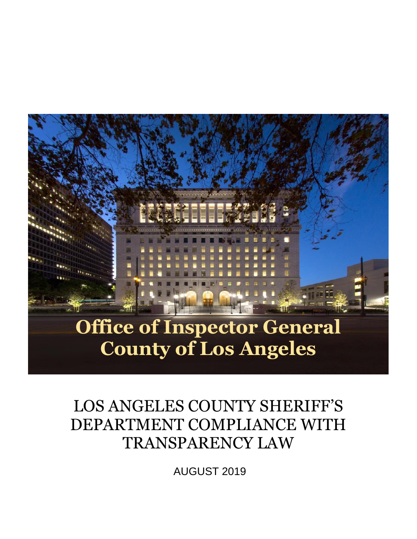

# LOS ANGELES COUNTY SHERIFF'S DEPARTMENT COMPLIANCE WITH TRANSPARENCY LAW

AUGUST 2019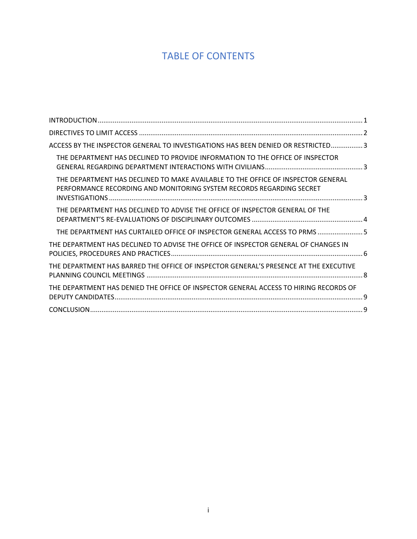# TABLE OF CONTENTS

| ACCESS BY THE INSPECTOR GENERAL TO INVESTIGATIONS HAS BEEN DENIED OR RESTRICTED3                                                                         |  |
|----------------------------------------------------------------------------------------------------------------------------------------------------------|--|
| THE DEPARTMENT HAS DECLINED TO PROVIDE INFORMATION TO THE OFFICE OF INSPECTOR                                                                            |  |
| THE DEPARTMENT HAS DECLINED TO MAKE AVAILABLE TO THE OFFICE OF INSPECTOR GENERAL<br>PERFORMANCE RECORDING AND MONITORING SYSTEM RECORDS REGARDING SECRET |  |
| THE DEPARTMENT HAS DECLINED TO ADVISE THE OFFICE OF INSPECTOR GENERAL OF THE                                                                             |  |
| THE DEPARTMENT HAS CURTAILED OFFICE OF INSPECTOR GENERAL ACCESS TO PRMS  5                                                                               |  |
| THE DEPARTMENT HAS DECLINED TO ADVISE THE OFFICE OF INSPECTOR GENERAL OF CHANGES IN                                                                      |  |
| THE DEPARTMENT HAS BARRED THE OFFICE OF INSPECTOR GENERAL'S PRESENCE AT THE EXECUTIVE                                                                    |  |
| THE DEPARTMENT HAS DENIED THE OFFICE OF INSPECTOR GENERAL ACCESS TO HIRING RECORDS OF                                                                    |  |
|                                                                                                                                                          |  |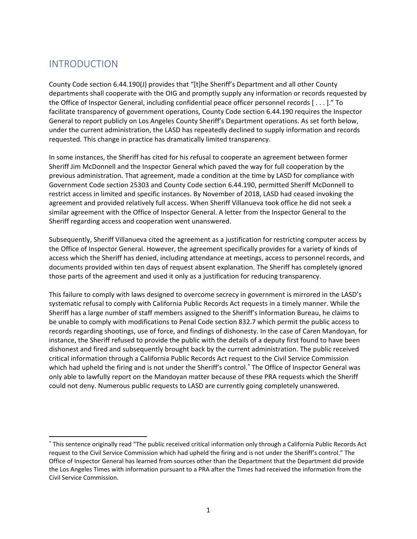### <span id="page-2-0"></span>INTRODUCTION

County Code section 6.44.190(J) provides that "[t]he Sheriff's Department and all other County departments shall cooperate with the OIG and promptly supply any information or records requested by the Office of Inspector General, including confidential peace officer personnel records [ . . . ]." To facilitate transparency of government operations, County Code section 6.44.190 requires the Inspector General to report publicly on Los Angeles County Sheriff's Department operations. As set forth below, under the current administration, the LASD has repeatedly declined to supply information and records requested. This change in practice has dramatically limited transparency.

In some instances, the Sheriff has cited for his refusal to cooperate an agreement between former Sheriff Jim McDonnell and the Inspector General which paved the way for full cooperation by the previous administration. That agreement, made a condition at the time by LASD for compliance with Government Code section 25303 and County Code section 6.44.190, permitted Sheriff McDonnell to restrict access in limited and specific instances. By November of 2018, LASD had ceased invoking the agreement and provided relatively full access. When Sheriff Villanueva took office he did not seek a similar agreement with the Office of Inspector General. A letter from the Inspector General to the Sheriff regarding access and cooperation went unanswered.

Subsequently, Sheriff Villanueva cited the agreement as a justification for restricting computer access by the Office of Inspector General. However, the agreement specifically provides for a variety of kinds of access which the Sheriff has denied, including attendance at meetings, access to personnel records, and documents provided within ten days of request absent explanation. The Sheriff has completely ignored those parts of the agreement and used it only as a justification for reducing transparency.

This failure to comply with laws designed to overcome secrecy in government is mirrored in the LASD's systematic refusal to comply with California Public Records Act requests in a timely manner. While the Sheriff has a large number of staff members assigned to the Sheriff's Information Bureau, he claims to be unable to comply with modifications to Penal Code section 832.7 which permit the public access to records regarding shootings, use of force, and findings of dishonesty. In the case of Caren Mandoyan, for instance, the Sheriff refused to provide the public with the details of a deputy first found to have been dishonest and fired and subsequently brought back by the current administration. The public received critical information through a California Public Records Act request to the Civil Service Commission which had upheld the firing and is not under the Sheriff's control. \* The Office of Inspector General was only able to lawfully report on the Mandoyan matter because of these PRA requests which the Sheriff could not deny. Numerous public requests to LASD are currently going completely unanswered.

<sup>\*</sup> This sentence originally read "The public received critical information only through a California Public Records Act request to the Civil Service Commission which had upheld the firing and is not under the Sheriff's control." The Office of Inspector General has learned from sources other than the Department that the Department did provide the Los Angeles Times with information pursuant to a PRA after the Times had received the information from the Civil Service Commission.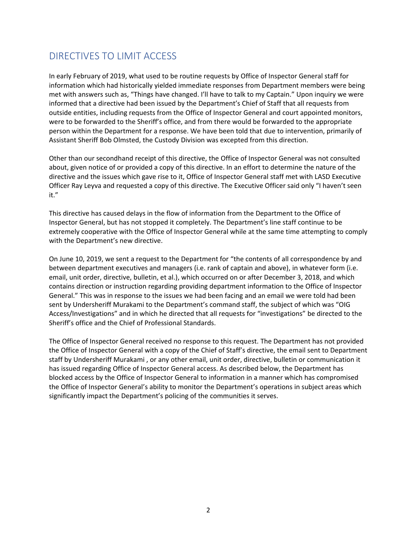## <span id="page-3-0"></span>DIRECTIVES TO LIMIT ACCESS

In early February of 2019, what used to be routine requests by Office of Inspector General staff for information which had historically yielded immediate responses from Department members were being met with answers such as, "Things have changed. I'll have to talk to my Captain." Upon inquiry we were informed that a directive had been issued by the Department's Chief of Staff that all requests from outside entities, including requests from the Office of Inspector General and court appointed monitors, were to be forwarded to the Sheriff's office, and from there would be forwarded to the appropriate person within the Department for a response. We have been told that due to intervention, primarily of Assistant Sheriff Bob Olmsted, the Custody Division was excepted from this direction.

Other than our secondhand receipt of this directive, the Office of Inspector General was not consulted about, given notice of or provided a copy of this directive. In an effort to determine the nature of the directive and the issues which gave rise to it, Office of Inspector General staff met with LASD Executive Officer Ray Leyva and requested a copy of this directive. The Executive Officer said only "I haven't seen it."

This directive has caused delays in the flow of information from the Department to the Office of Inspector General, but has not stopped it completely. The Department's line staff continue to be extremely cooperative with the Office of Inspector General while at the same time attempting to comply with the Department's new directive.

On June 10, 2019, we sent a request to the Department for "the contents of all correspondence by and between department executives and managers (i.e. rank of captain and above), in whatever form (i.e. email, unit order, directive, bulletin, et al.), which occurred on or after December 3, 2018, and which contains direction or instruction regarding providing department information to the Office of Inspector General." This was in response to the issues we had been facing and an email we were told had been sent by Undersheriff Murakami to the Department's command staff, the subject of which was "OIG Access/Investigations" and in which he directed that all requests for "investigations" be directed to the Sheriff's office and the Chief of Professional Standards.

The Office of Inspector General received no response to this request. The Department has not provided the Office of Inspector General with a copy of the Chief of Staff's directive, the email sent to Department staff by Undersheriff Murakami , or any other email, unit order, directive, bulletin or communication it has issued regarding Office of Inspector General access. As described below, the Department has blocked access by the Office of Inspector General to information in a manner which has compromised the Office of Inspector General's ability to monitor the Department's operations in subject areas which significantly impact the Department's policing of the communities it serves.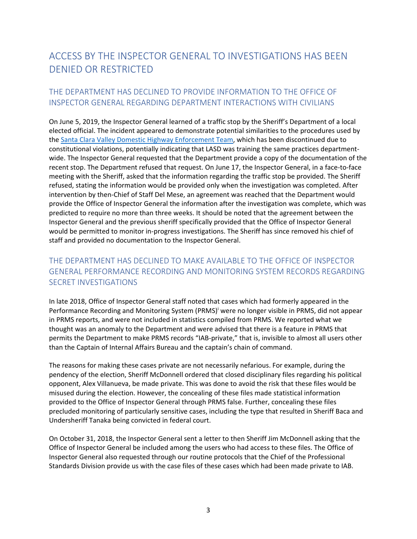## <span id="page-4-0"></span>ACCESS BY THE INSPECTOR GENERAL TO INVESTIGATIONS HAS BEEN DENIED OR RESTRICTED

#### <span id="page-4-1"></span>THE DEPARTMENT HAS DECLINED TO PROVIDE INFORMATION TO THE OFFICE OF INSPECTOR GENERAL REGARDING DEPARTMENT INTERACTIONS WITH CIVILIANS

On June 5, 2019, the Inspector General learned of a traffic stop by the Sheriff's Department of a local elected official. The incident appeared to demonstrate potential similarities to the procedures used by the [Santa Clara Valley Domestic Highway Enforcement Team,](https://oig.lacounty.gov/Portals/OIG/Reports/LASD_DHET_FINAL.pdf?ver=2019-04-19-155336-267) which has been discontinued due to constitutional violations, potentially indicating that LASD was training the same practices departmentwide. The Inspector General requested that the Department provide a copy of the documentation of the recent stop. The Department refused that request. On June 17, the Inspector General, in a face-to-face meeting with the Sheriff, asked that the information regarding the traffic stop be provided. The Sheriff refused, stating the information would be provided only when the investigation was completed. After intervention by then-Chief of Staff Del Mese, an agreement was reached that the Department would provide the Office of Inspector General the information after the investigation was complete, which was predicted to require no more than three weeks. It should be noted that the agreement between the Inspector General and the previous sheriff specifically provided that the Office of Inspector General would be permitted to monitor in-progress investigations. The Sheriff has since removed his chief of staff and provided no documentation to the Inspector General.

#### <span id="page-4-2"></span>THE DEPARTMENT HAS DECLINED TO MAKE AVAILABLE TO THE OFFICE OF INSPECTOR GENERAL PERFORMANCE RECORDING AND MONITORING SYSTEM RECORDS REGARDING SECRET INVESTIGATIONS

In late 2018, Office of Inspector General staff noted that cases which had formerly appeared in the Performance Recording and Monitoring System (PRMS)<sup>i</sup> were no longer visible in PRMS, did not appear in PRMS reports, and were not included in statistics compiled from PRMS. We reported what we thought was an anomaly to the Department and were advised that there is a feature in PRMS that permits the Department to make PRMS records "IAB-private," that is, invisible to almost all users other than the Captain of Internal Affairs Bureau and the captain's chain of command.

The reasons for making these cases private are not necessarily nefarious. For example, during the pendency of the election, Sheriff McDonnell ordered that closed disciplinary files regarding his political opponent, Alex Villanueva, be made private. This was done to avoid the risk that these files would be misused during the election. However, the concealing of these files made statistical information provided to the Office of Inspector General through PRMS false. Further, concealing these files precluded monitoring of particularly sensitive cases, including the type that resulted in Sheriff Baca and Undersheriff Tanaka being convicted in federal court.

On October 31, 2018, the Inspector General sent a letter to then Sheriff Jim McDonnell asking that the Office of Inspector General be included among the users who had access to these files. The Office of Inspector General also requested through our routine protocols that the Chief of the Professional Standards Division provide us with the case files of these cases which had been made private to IAB.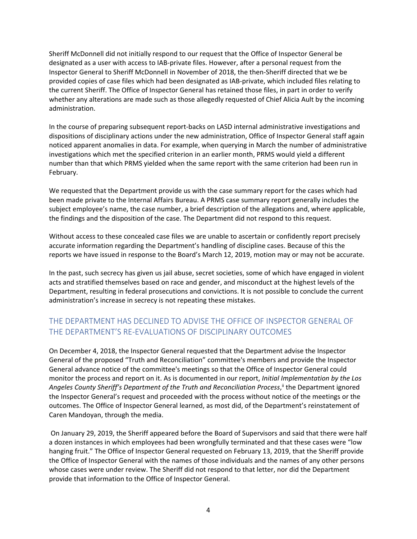Sheriff McDonnell did not initially respond to our request that the Office of Inspector General be designated as a user with access to IAB-private files. However, after a personal request from the Inspector General to Sheriff McDonnell in November of 2018, the then-Sheriff directed that we be provided copies of case files which had been designated as IAB-private, which included files relating to the current Sheriff. The Office of Inspector General has retained those files, in part in order to verify whether any alterations are made such as those allegedly requested of Chief Alicia Ault by the incoming administration.

In the course of preparing subsequent report-backs on LASD internal administrative investigations and dispositions of disciplinary actions under the new administration, Office of Inspector General staff again noticed apparent anomalies in data. For example, when querying in March the number of administrative investigations which met the specified criterion in an earlier month, PRMS would yield a different number than that which PRMS yielded when the same report with the same criterion had been run in February.

We requested that the Department provide us with the case summary report for the cases which had been made private to the Internal Affairs Bureau. A PRMS case summary report generally includes the subject employee's name, the case number, a brief description of the allegations and, where applicable, the findings and the disposition of the case. The Department did not respond to this request.

Without access to these concealed case files we are unable to ascertain or confidently report precisely accurate information regarding the Department's handling of discipline cases. Because of this the reports we have issued in response to the Board's March 12, 2019, motion may or may not be accurate.

In the past, such secrecy has given us jail abuse, secret societies, some of which have engaged in violent acts and stratified themselves based on race and gender, and misconduct at the highest levels of the Department, resulting in federal prosecutions and convictions. It is not possible to conclude the current administration's increase in secrecy is not repeating these mistakes.

#### <span id="page-5-0"></span>THE DEPARTMENT HAS DECLINED TO ADVISE THE OFFICE OF INSPECTOR GENERAL OF THE DEPARTMENT'S RE-EVALUATIONS OF DISCIPLINARY OUTCOMES

On December 4, 2018, the Inspector General requested that the Department advise the Inspector General of the proposed "Truth and Reconciliation" committee's members and provide the Inspector General advance notice of the committee's meetings so that the Office of Inspector General could monitor the process and report on it. As is documented in our report, *Initial Implementation by the Los Angeles County Sheriff's Department of the Truth and Reconciliation Process*, ii the Department ignored the Inspector General's request and proceeded with the process without notice of the meetings or the outcomes. The Office of Inspector General learned, as most did, of the Department's reinstatement of Caren Mandoyan, through the media.

On January 29, 2019, the Sheriff appeared before the Board of Supervisors and said that there were half a dozen instances in which employees had been wrongfully terminated and that these cases were "low hanging fruit." The Office of Inspector General requested on February 13, 2019, that the Sheriff provide the Office of Inspector General with the names of those individuals and the names of any other persons whose cases were under review. The Sheriff did not respond to that letter, nor did the Department provide that information to the Office of Inspector General.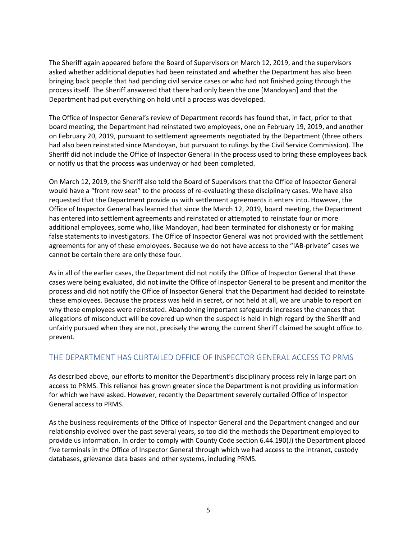The Sheriff again appeared before the Board of Supervisors on March 12, 2019, and the supervisors asked whether additional deputies had been reinstated and whether the Department has also been bringing back people that had pending civil service cases or who had not finished going through the process itself. The Sheriff answered that there had only been the one [Mandoyan] and that the Department had put everything on hold until a process was developed.

The Office of Inspector General's review of Department records has found that, in fact, prior to that board meeting, the Department had reinstated two employees, one on February 19, 2019, and another on February 20, 2019, pursuant to settlement agreements negotiated by the Department (three others had also been reinstated since Mandoyan, but pursuant to rulings by the Civil Service Commission). The Sheriff did not include the Office of Inspector General in the process used to bring these employees back or notify us that the process was underway or had been completed.

On March 12, 2019, the Sheriff also told the Board of Supervisors that the Office of Inspector General would have a "front row seat" to the process of re-evaluating these disciplinary cases. We have also requested that the Department provide us with settlement agreements it enters into. However, the Office of Inspector General has learned that since the March 12, 2019, board meeting, the Department has entered into settlement agreements and reinstated or attempted to reinstate four or more additional employees, some who, like Mandoyan, had been terminated for dishonesty or for making false statements to investigators. The Office of Inspector General was not provided with the settlement agreements for any of these employees. Because we do not have access to the "IAB-private" cases we cannot be certain there are only these four.

As in all of the earlier cases, the Department did not notify the Office of Inspector General that these cases were being evaluated, did not invite the Office of Inspector General to be present and monitor the process and did not notify the Office of Inspector General that the Department had decided to reinstate these employees. Because the process was held in secret, or not held at all, we are unable to report on why these employees were reinstated. Abandoning important safeguards increases the chances that allegations of misconduct will be covered up when the suspect is held in high regard by the Sheriff and unfairly pursued when they are not, precisely the wrong the current Sheriff claimed he sought office to prevent.

#### <span id="page-6-0"></span>THE DEPARTMENT HAS CURTAILED OFFICE OF INSPECTOR GENERAL ACCESS TO PRMS

As described above, our efforts to monitor the Department's disciplinary process rely in large part on access to PRMS. This reliance has grown greater since the Department is not providing us information for which we have asked. However, recently the Department severely curtailed Office of Inspector General access to PRMS.

As the business requirements of the Office of Inspector General and the Department changed and our relationship evolved over the past several years, so too did the methods the Department employed to provide us information. In order to comply with County Code section 6.44.190(J) the Department placed five terminals in the Office of Inspector General through which we had access to the intranet, custody databases, grievance data bases and other systems, including PRMS.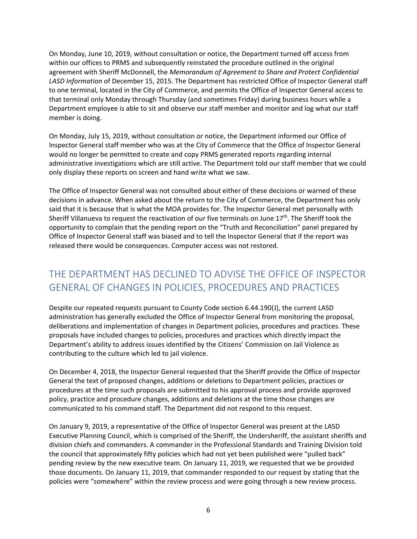On Monday, June 10, 2019, without consultation or notice, the Department turned off access from within our offices to PRMS and subsequently reinstated the procedure outlined in the original agreement with Sheriff McDonnell, the *Memorandum of Agreement to Share and Protect Confidential LASD Information* of December 15, 2015. The Department has restricted Office of Inspector General staff to one terminal, located in the City of Commerce, and permits the Office of Inspector General access to that terminal only Monday through Thursday (and sometimes Friday) during business hours while a Department employee is able to sit and observe our staff member and monitor and log what our staff member is doing.

On Monday, July 15, 2019, without consultation or notice, the Department informed our Office of Inspector General staff member who was at the City of Commerce that the Office of Inspector General would no longer be permitted to create and copy PRMS generated reports regarding internal administrative investigations which are still active. The Department told our staff member that we could only display these reports on screen and hand write what we saw.

The Office of Inspector General was not consulted about either of these decisions or warned of these decisions in advance. When asked about the return to the City of Commerce, the Department has only said that it is because that is what the MOA provides for. The Inspector General met personally with Sheriff Villanueva to request the reactivation of our five terminals on June 17<sup>th</sup>. The Sheriff took the opportunity to complain that the pending report on the "Truth and Reconciliation" panel prepared by Office of Inspector General staff was biased and to tell the Inspector General that if the report was released there would be consequences. Computer access was not restored.

## <span id="page-7-0"></span>THE DEPARTMENT HAS DECLINED TO ADVISE THE OFFICE OF INSPECTOR GENERAL OF CHANGES IN POLICIES, PROCEDURES AND PRACTICES

Despite our repeated requests pursuant to County Code section 6.44.190(J), the current LASD administration has generally excluded the Office of Inspector General from monitoring the proposal, deliberations and implementation of changes in Department policies, procedures and practices. These proposals have included changes to policies, procedures and practices which directly impact the Department's ability to address issues identified by the Citizens' Commission on Jail Violence as contributing to the culture which led to jail violence.

On December 4, 2018, the Inspector General requested that the Sheriff provide the Office of Inspector General the text of proposed changes, additions or deletions to Department policies, practices or procedures at the time such proposals are submitted to his approval process and provide approved policy, practice and procedure changes, additions and deletions at the time those changes are communicated to his command staff. The Department did not respond to this request.

On January 9, 2019, a representative of the Office of Inspector General was present at the LASD Executive Planning Council, which is comprised of the Sheriff, the Undersheriff, the assistant sheriffs and division chiefs and commanders. A commander in the Professional Standards and Training Division told the council that approximately fifty policies which had not yet been published were "pulled back" pending review by the new executive team. On January 11, 2019, we requested that we be provided those documents. On January 11, 2019, that commander responded to our request by stating that the policies were "somewhere" within the review process and were going through a new review process.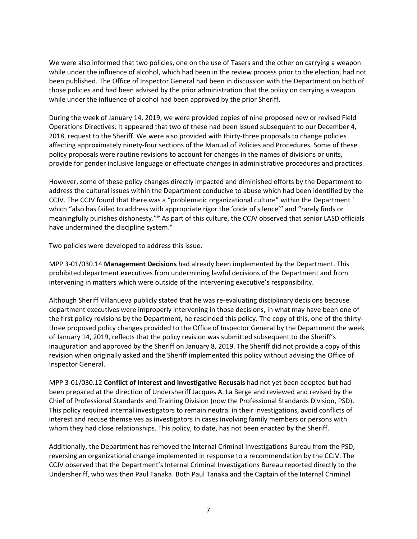We were also informed that two policies, one on the use of Tasers and the other on carrying a weapon while under the influence of alcohol, which had been in the review process prior to the election, had not been published. The Office of Inspector General had been in discussion with the Department on both of those policies and had been advised by the prior administration that the policy on carrying a weapon while under the influence of alcohol had been approved by the prior Sheriff.

During the week of January 14, 2019, we were provided copies of nine proposed new or revised Field Operations Directives. It appeared that two of these had been issued subsequent to our December 4, 2018, request to the Sheriff. We were also provided with thirty-three proposals to change policies affecting approximately ninety-four sections of the Manual of Policies and Procedures. Some of these policy proposals were routine revisions to account for changes in the names of divisions or units, provide for gender inclusive language or effectuate changes in administrative procedures and practices.

However, some of these policy changes directly impacted and diminished efforts by the Department to address the cultural issues within the Department conducive to abuse which had been identified by the CCJV. The CCJV found that there was a "problematic organizational culture" within the Department<sup>iii</sup> which "also has failed to address with appropriate rigor the 'code of silence'" and "rarely finds or meaningfully punishes dishonesty."<sup>iv</sup> As part of this culture, the CCJV observed that senior LASD officials have undermined the discipline system. $^{\text{v}}$ 

Two policies were developed to address this issue.

MPP 3-01/030.14 **Management Decisions** had already been implemented by the Department. This prohibited department executives from undermining lawful decisions of the Department and from intervening in matters which were outside of the intervening executive's responsibility.

Although Sheriff Villanueva publicly stated that he was re-evaluating disciplinary decisions because department executives were improperly intervening in those decisions, in what may have been one of the first policy revisions by the Department, he rescinded this policy. The copy of this, one of the thirtythree proposed policy changes provided to the Office of Inspector General by the Department the week of January 14, 2019, reflects that the policy revision was submitted subsequent to the Sheriff's inauguration and approved by the Sheriff on January 8, 2019. The Sheriff did not provide a copy of this revision when originally asked and the Sheriff implemented this policy without advising the Office of Inspector General.

MPP 3-01/030.12 **Conflict of Interest and Investigative Recusals** had not yet been adopted but had been prepared at the direction of Undersheriff Jacques A. La Berge and reviewed and revised by the Chief of Professional Standards and Training Division (now the Professional Standards Division, PSD). This policy required internal investigators to remain neutral in their investigations, avoid conflicts of interest and recuse themselves as investigators in cases involving family members or persons with whom they had close relationships. This policy, to date, has not been enacted by the Sheriff.

Additionally, the Department has removed the Internal Criminal Investigations Bureau from the PSD, reversing an organizational change implemented in response to a recommendation by the CCJV. The CCJV observed that the Department's Internal Criminal Investigations Bureau reported directly to the Undersheriff, who was then Paul Tanaka. Both Paul Tanaka and the Captain of the Internal Criminal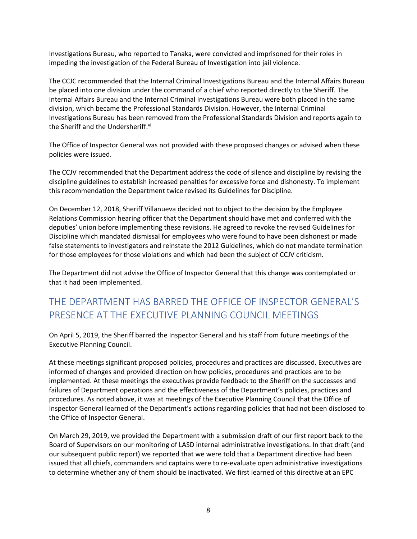Investigations Bureau, who reported to Tanaka, were convicted and imprisoned for their roles in impeding the investigation of the Federal Bureau of Investigation into jail violence.

The CCJC recommended that the Internal Criminal Investigations Bureau and the Internal Affairs Bureau be placed into one division under the command of a chief who reported directly to the Sheriff. The Internal Affairs Bureau and the Internal Criminal Investigations Bureau were both placed in the same division, which became the Professional Standards Division. However, the Internal Criminal Investigations Bureau has been removed from the Professional Standards Division and reports again to the Sheriff and the Undersheriff.<sup>vi</sup>

The Office of Inspector General was not provided with these proposed changes or advised when these policies were issued.

The CCJV recommended that the Department address the code of silence and discipline by revising the discipline guidelines to establish increased penalties for excessive force and dishonesty. To implement this recommendation the Department twice revised its Guidelines for Discipline.

On December 12, 2018, Sheriff Villanueva decided not to object to the decision by the Employee Relations Commission hearing officer that the Department should have met and conferred with the deputies' union before implementing these revisions. He agreed to revoke the revised Guidelines for Discipline which mandated dismissal for employees who were found to have been dishonest or made false statements to investigators and reinstate the 2012 Guidelines, which do not mandate termination for those employees for those violations and which had been the subject of CCJV criticism.

The Department did not advise the Office of Inspector General that this change was contemplated or that it had been implemented.

# <span id="page-9-0"></span>THE DEPARTMENT HAS BARRED THE OFFICE OF INSPECTOR GENERAL'S PRESENCE AT THE EXECUTIVE PLANNING COUNCIL MEETINGS

On April 5, 2019, the Sheriff barred the Inspector General and his staff from future meetings of the Executive Planning Council.

At these meetings significant proposed policies, procedures and practices are discussed. Executives are informed of changes and provided direction on how policies, procedures and practices are to be implemented. At these meetings the executives provide feedback to the Sheriff on the successes and failures of Department operations and the effectiveness of the Department's policies, practices and procedures. As noted above, it was at meetings of the Executive Planning Council that the Office of Inspector General learned of the Department's actions regarding policies that had not been disclosed to the Office of Inspector General.

On March 29, 2019, we provided the Department with a submission draft of our first report back to the Board of Supervisors on our monitoring of LASD internal administrative investigations. In that draft (and our subsequent public report) we reported that we were told that a Department directive had been issued that all chiefs, commanders and captains were to re-evaluate open administrative investigations to determine whether any of them should be inactivated. We first learned of this directive at an EPC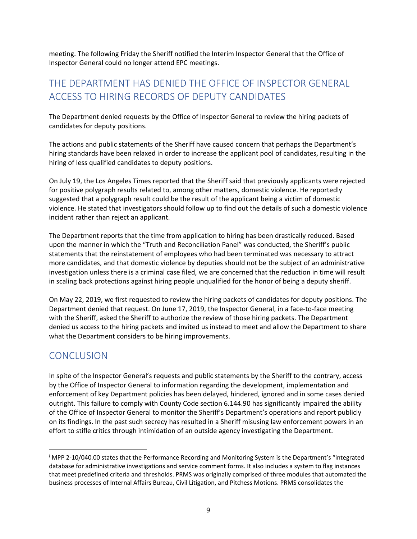meeting. The following Friday the Sheriff notified the Interim Inspector General that the Office of Inspector General could no longer attend EPC meetings.

## <span id="page-10-0"></span>THE DEPARTMENT HAS DENIED THE OFFICE OF INSPECTOR GENERAL ACCESS TO HIRING RECORDS OF DEPUTY CANDIDATES

The Department denied requests by the Office of Inspector General to review the hiring packets of candidates for deputy positions.

The actions and public statements of the Sheriff have caused concern that perhaps the Department's hiring standards have been relaxed in order to increase the applicant pool of candidates, resulting in the hiring of less qualified candidates to deputy positions.

On July 19, the Los Angeles Times reported that the Sheriff said that previously applicants were rejected for positive polygraph results related to, among other matters, domestic violence. He reportedly suggested that a polygraph result could be the result of the applicant being a victim of domestic violence. He stated that investigators should follow up to find out the details of such a domestic violence incident rather than reject an applicant.

The Department reports that the time from application to hiring has been drastically reduced. Based upon the manner in which the "Truth and Reconciliation Panel" was conducted, the Sheriff's public statements that the reinstatement of employees who had been terminated was necessary to attract more candidates, and that domestic violence by deputies should not be the subject of an administrative investigation unless there is a criminal case filed, we are concerned that the reduction in time will result in scaling back protections against hiring people unqualified for the honor of being a deputy sheriff.

On May 22, 2019, we first requested to review the hiring packets of candidates for deputy positions. The Department denied that request. On June 17, 2019, the Inspector General, in a face-to-face meeting with the Sheriff, asked the Sheriff to authorize the review of those hiring packets. The Department denied us access to the hiring packets and invited us instead to meet and allow the Department to share what the Department considers to be hiring improvements.

## <span id="page-10-1"></span>**CONCLUSION**

In spite of the Inspector General's requests and public statements by the Sheriff to the contrary, access by the Office of Inspector General to information regarding the development, implementation and enforcement of key Department policies has been delayed, hindered, ignored and in some cases denied outright. This failure to comply with County Code section 6.144.90 has significantly impaired the ability of the Office of Inspector General to monitor the Sheriff's Department's operations and report publicly on its findings. In the past such secrecy has resulted in a Sheriff misusing law enforcement powers in an effort to stifle critics through intimidation of an outside agency investigating the Department.

<sup>i</sup> MPP 2-10/040.00 states that the Performance Recording and Monitoring System is the Department's "integrated database for administrative investigations and service comment forms. It also includes a system to flag instances that meet predefined criteria and thresholds. PRMS was originally comprised of three modules that automated the business processes of Internal Affairs Bureau, Civil Litigation, and Pitchess Motions. PRMS consolidates the